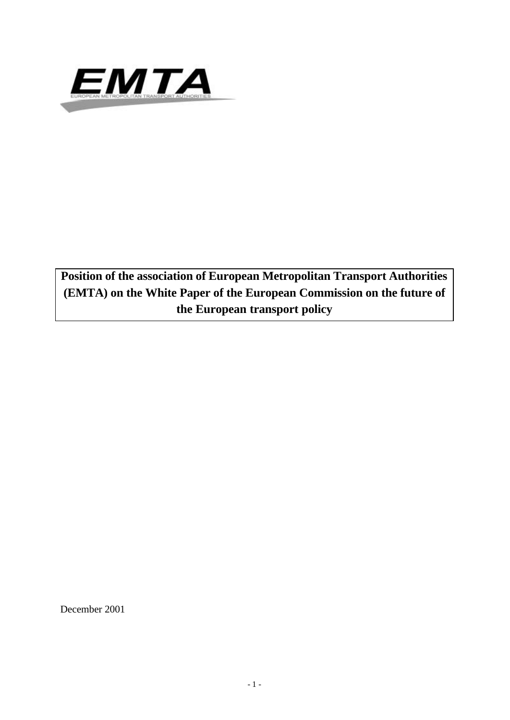

**Position of the association of European Metropolitan Transport Authorities (EMTA) on the White Paper of the European Commission on the future of the European transport policy**

December 2001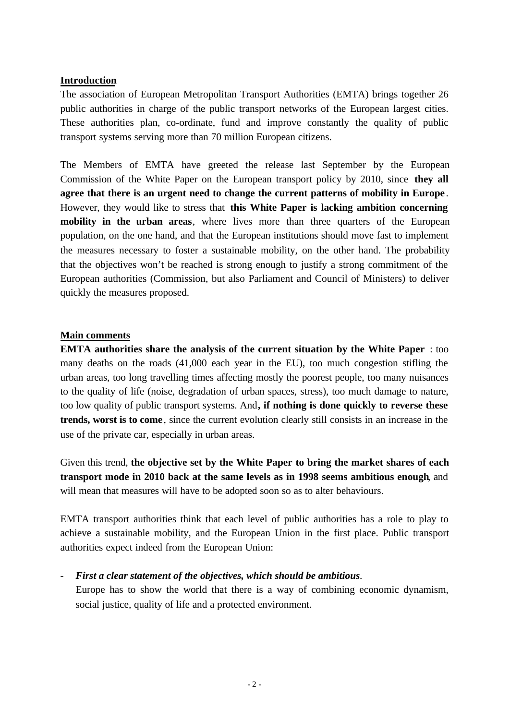# **Introduction**

The association of European Metropolitan Transport Authorities (EMTA) brings together 26 public authorities in charge of the public transport networks of the European largest cities. These authorities plan, co-ordinate, fund and improve constantly the quality of public transport systems serving more than 70 million European citizens.

The Members of EMTA have greeted the release last September by the European Commission of the White Paper on the European transport policy by 2010, since **they all agree that there is an urgent need to change the current patterns of mobility in Europe** . However, they would like to stress that **this White Paper is lacking ambition concerning mobility in the urban areas**, where lives more than three quarters of the European population, on the one hand, and that the European institutions should move fast to implement the measures necessary to foster a sustainable mobility, on the other hand. The probability that the objectives won't be reached is strong enough to justify a strong commitment of the European authorities (Commission, but also Parliament and Council of Ministers) to deliver quickly the measures proposed.

# **Main comments**

**EMTA authorities share the analysis of the current situation by the White Paper** : too many deaths on the roads (41,000 each year in the EU), too much congestion stifling the urban areas, too long travelling times affecting mostly the poorest people, too many nuisances to the quality of life (noise, degradation of urban spaces, stress), too much damage to nature, too low quality of public transport systems. And**, if nothing is done quickly to reverse these trends, worst is to come** , since the current evolution clearly still consists in an increase in the use of the private car, especially in urban areas.

Given this trend, **the objective set by the White Paper to bring the market shares of each transport mode in 2010 back at the same levels as in 1998 seems ambitious enough**, and will mean that measures will have to be adopted soon so as to alter behaviours.

EMTA transport authorities think that each level of public authorities has a role to play to achieve a sustainable mobility, and the European Union in the first place. Public transport authorities expect indeed from the European Union:

# - *First a clear statement of the objectives, which should be ambitious.*

Europe has to show the world that there is a way of combining economic dynamism, social justice, quality of life and a protected environment.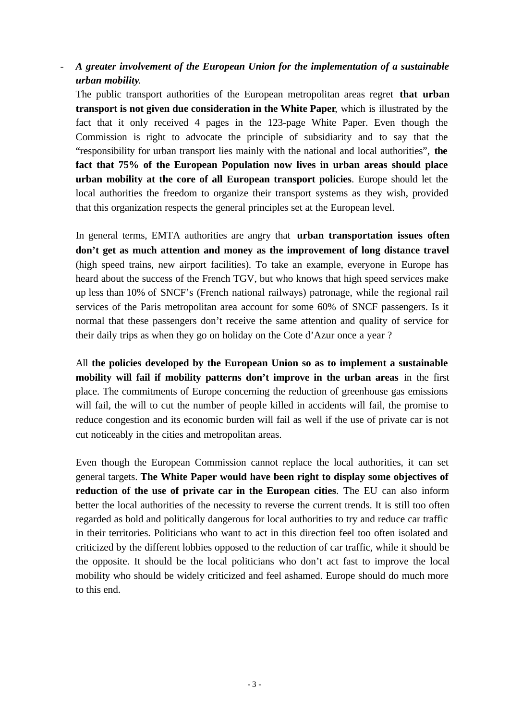- *A greater involvement of the European Union for the implementation of a sustainable urban mobility.*

The public transport authorities of the European metropolitan areas regret **that urban transport is not given due consideration in the White Paper**, which is illustrated by the fact that it only received 4 pages in the 123-page White Paper. Even though the Commission is right to advocate the principle of subsidiarity and to say that the "responsibility for urban transport lies mainly with the national and local authorities", **the fact that 75% of the European Population now lives in urban areas should place urban mobility at the core of all European transport policies**. Europe should let the local authorities the freedom to organize their transport systems as they wish, provided that this organization respects the general principles set at the European level.

In general terms, EMTA authorities are angry that **urban transportation issues often don't get as much attention and money as the improvement of long distance travel** (high speed trains, new airport facilities). To take an example, everyone in Europe has heard about the success of the French TGV, but who knows that high speed services make up less than 10% of SNCF's (French national railways) patronage, while the regional rail services of the Paris metropolitan area account for some 60% of SNCF passengers. Is it normal that these passengers don't receive the same attention and quality of service for their daily trips as when they go on holiday on the Cote d'Azur once a year ?

All **the policies developed by the European Union so as to implement a sustainable mobility will fail if mobility patterns don't improve in the urban areas** in the first place. The commitments of Europe concerning the reduction of greenhouse gas emissions will fail, the will to cut the number of people killed in accidents will fail, the promise to reduce congestion and its economic burden will fail as well if the use of private car is not cut noticeably in the cities and metropolitan areas.

Even though the European Commission cannot replace the local authorities, it can set general targets. **The White Paper would have been right to display some objectives of reduction of the use of private car in the European cities**. The EU can also inform better the local authorities of the necessity to reverse the current trends. It is still too often regarded as bold and politically dangerous for local authorities to try and reduce car traffic in their territories. Politicians who want to act in this direction feel too often isolated and criticized by the different lobbies opposed to the reduction of car traffic, while it should be the opposite. It should be the local politicians who don't act fast to improve the local mobility who should be widely criticized and feel ashamed. Europe should do much more to this end.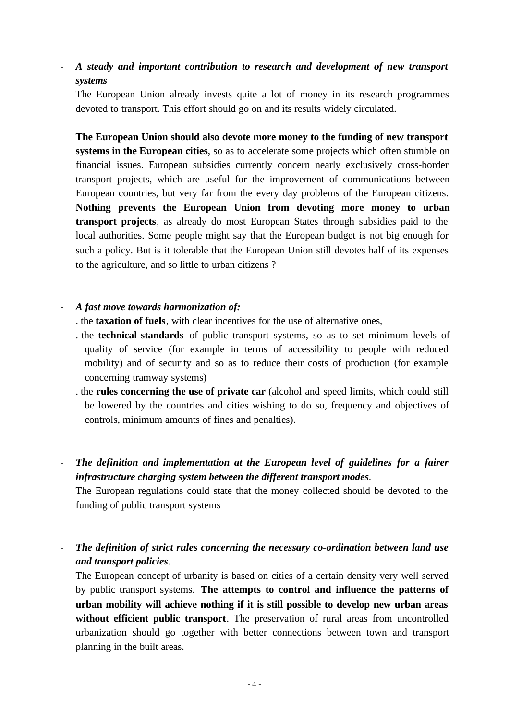- *A steady and important contribution to research and development of new transport systems*

The European Union already invests quite a lot of money in its research programmes devoted to transport. This effort should go on and its results widely circulated.

**The European Union should also devote more money to the funding of new transport systems in the European cities**, so as to accelerate some projects which often stumble on financial issues. European subsidies currently concern nearly exclusively cross-border transport projects, which are useful for the improvement of communications between European countries, but very far from the every day problems of the European citizens. **Nothing prevents the European Union from devoting more money to urban transport projects**, as already do most European States through subsidies paid to the local authorities. Some people might say that the European budget is not big enough for such a policy. But is it tolerable that the European Union still devotes half of its expenses to the agriculture, and so little to urban citizens ?

#### - *A fast move towards harmonization of:*

- . the **taxation of fuels**, with clear incentives for the use of alternative ones,
- . the **technical standards** of public transport systems, so as to set minimum levels of quality of service (for example in terms of accessibility to people with reduced mobility) and of security and so as to reduce their costs of production (for example concerning tramway systems)
- . the **rules concerning the use of private car** (alcohol and speed limits, which could still be lowered by the countries and cities wishing to do so, frequency and objectives of controls, minimum amounts of fines and penalties).
- *The definition and implementation at the European level of guidelines for a fairer infrastructure charging system between the different transport modes.*

The European regulations could state that the money collected should be devoted to the funding of public transport systems

- *The definition of strict rules concerning the necessary co-ordination between land use and transport policies.*

The European concept of urbanity is based on cities of a certain density very well served by public transport systems. **The attempts to control and influence the patterns of urban mobility will achieve nothing if it is still possible to develop new urban areas without efficient public transport**. The preservation of rural areas from uncontrolled urbanization should go together with better connections between town and transport planning in the built areas.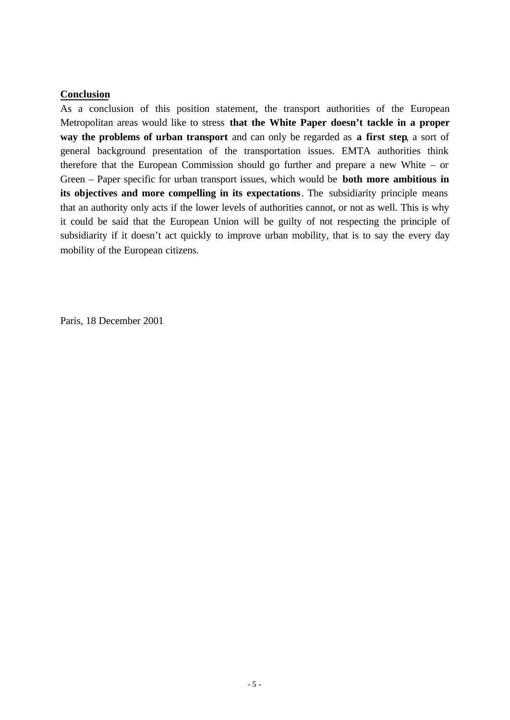#### **Conclusion**

As a conclusion of this position statement, the transport authorities of the European Metropolitan areas would like to stress **that the White Paper doesn't tackle in a proper way the problems of urban transport** and can only be regarded as **a first step**, a sort of general background presentation of the transportation issues. EMTA authorities think therefore that the European Commission should go further and prepare a new White – or Green – Paper specific for urban transport issues, which would be **both more ambitious in its objectives and more compelling in its expectations**. The subsidiarity principle means that an authority only acts if the lower levels of authorities cannot, or not as well. This is why it could be said that the European Union will be guilty of not respecting the principle of subsidiarity if it doesn't act quickly to improve urban mobility, that is to say the every day mobility of the European citizens.

Paris, 18 December 2001